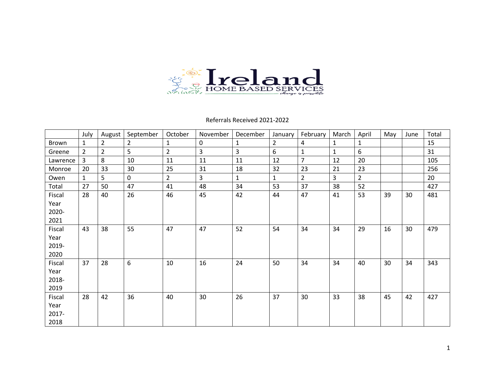

Referrals Received 2021-2022

|          | July           | August         | September | October        | November       | December     | January        | February       | March        | April          | May | June | Total |
|----------|----------------|----------------|-----------|----------------|----------------|--------------|----------------|----------------|--------------|----------------|-----|------|-------|
| Brown    | 1              | 2              | 2         |                | $\mathbf 0$    |              | $\overline{2}$ | 4              | 1            |                |     |      | 15    |
| Greene   | $\overline{2}$ | $\overline{2}$ | 5         | $\overline{2}$ | $\overline{3}$ | 3            | 6              | $\mathbf{1}$   | $\mathbf{1}$ | 6              |     |      | 31    |
| Lawrence | 3              | 8              | 10        | 11             | 11             | 11           | 12             | $\overline{7}$ | 12           | 20             |     |      | 105   |
| Monroe   | 20             | 33             | 30        | 25             | 31             | 18           | 32             | 23             | 21           | 23             |     |      | 256   |
| Owen     | $\mathbf{1}$   | 5              | 0         | $\overline{2}$ | 3              | $\mathbf{1}$ | $\mathbf{1}$   | $\overline{2}$ | 3            | $\overline{2}$ |     |      | 20    |
| Total    | 27             | 50             | 47        | 41             | 48             | 34           | 53             | 37             | 38           | 52             |     |      | 427   |
| Fiscal   | 28             | 40             | 26        | 46             | 45             | 42           | 44             | 47             | 41           | 53             | 39  | 30   | 481   |
| Year     |                |                |           |                |                |              |                |                |              |                |     |      |       |
| 2020-    |                |                |           |                |                |              |                |                |              |                |     |      |       |
| 2021     |                |                |           |                |                |              |                |                |              |                |     |      |       |
| Fiscal   | 43             | 38             | 55        | 47             | 47             | 52           | 54             | 34             | 34           | 29             | 16  | 30   | 479   |
| Year     |                |                |           |                |                |              |                |                |              |                |     |      |       |
| 2019-    |                |                |           |                |                |              |                |                |              |                |     |      |       |
| 2020     |                |                |           |                |                |              |                |                |              |                |     |      |       |
| Fiscal   | 37             | 28             | 6         | 10             | 16             | 24           | 50             | 34             | 34           | 40             | 30  | 34   | 343   |
| Year     |                |                |           |                |                |              |                |                |              |                |     |      |       |
| 2018-    |                |                |           |                |                |              |                |                |              |                |     |      |       |
| 2019     |                |                |           |                |                |              |                |                |              |                |     |      |       |
| Fiscal   | 28             | 42             | 36        | 40             | 30             | 26           | 37             | 30             | 33           | 38             | 45  | 42   | 427   |
| Year     |                |                |           |                |                |              |                |                |              |                |     |      |       |
| 2017-    |                |                |           |                |                |              |                |                |              |                |     |      |       |
| 2018     |                |                |           |                |                |              |                |                |              |                |     |      |       |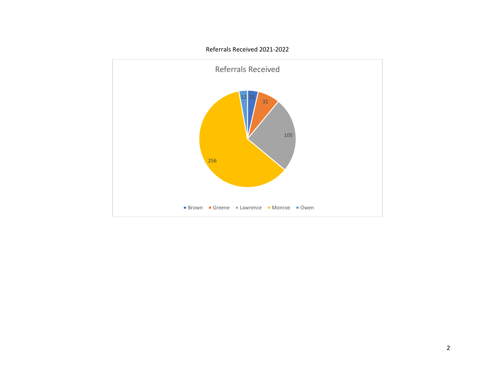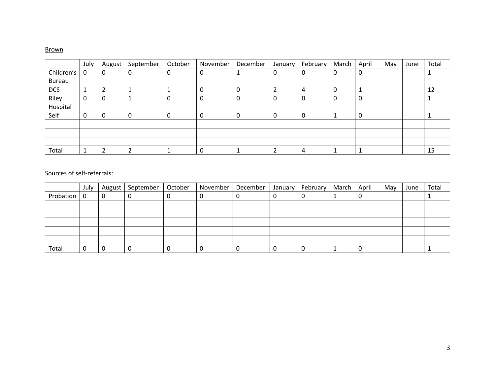## Brown

|               | July | August | September | October | November | December | January | February | March | April | May | June | Total |
|---------------|------|--------|-----------|---------|----------|----------|---------|----------|-------|-------|-----|------|-------|
| Children's    | 0    | 0      | 0         |         | 0        |          | 0       | 0        | 0     | 0     |     |      |       |
| <b>Bureau</b> |      |        |           |         |          |          |         |          |       |       |     |      |       |
| <b>DCS</b>    |      |        |           |         | U        |          |         | 4        | 0     |       |     |      | 12    |
| Riley         | 0    | 0      |           |         | 0        | 0        | 0       | 0        | 0     | 0     |     |      |       |
| Hospital      |      |        |           |         |          |          |         |          |       |       |     |      |       |
| Self          | 0    | 0      | 0         |         | 0        | 0        | 0       | 0        |       | 0     |     |      |       |
|               |      |        |           |         |          |          |         |          |       |       |     |      |       |
|               |      |        |           |         |          |          |         |          |       |       |     |      |       |
|               |      |        |           |         |          |          |         |          |       |       |     |      |       |
| Total         |      |        |           |         | υ        |          |         | 4        |       |       |     |      | 15    |

|           | July |   | August   September | October | November | December | January | February | March | April | May | June | Total |
|-----------|------|---|--------------------|---------|----------|----------|---------|----------|-------|-------|-----|------|-------|
| Probation | - 0  | 0 |                    |         |          |          |         |          |       |       |     |      |       |
|           |      |   |                    |         |          |          |         |          |       |       |     |      |       |
|           |      |   |                    |         |          |          |         |          |       |       |     |      |       |
|           |      |   |                    |         |          |          |         |          |       |       |     |      |       |
|           |      |   |                    |         |          |          |         |          |       |       |     |      |       |
|           |      |   |                    |         |          |          |         |          |       |       |     |      |       |
| Total     |      |   |                    |         |          |          |         |          |       |       |     |      |       |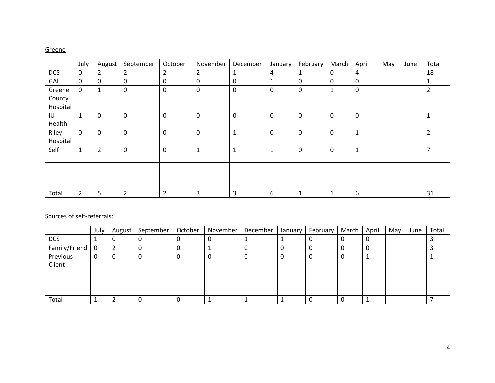### Greene

|            | July                | August      | September      | October        | November    | December     | January        | February    | March       | April        | May | June | Total                    |
|------------|---------------------|-------------|----------------|----------------|-------------|--------------|----------------|-------------|-------------|--------------|-----|------|--------------------------|
| <b>DCS</b> | 0                   | 2           | $\overline{2}$ | $\overline{2}$ | 2           | 1            | $\overline{4}$ | 1           | 0           | 4            |     |      | 18                       |
| GAL        | $\mathbf 0$         | 0           | $\mathbf 0$    | $\mathbf 0$    | 0           | 0            | $\mathbf{1}$   | $\mathbf 0$ | 0           | $\mathbf 0$  |     |      |                          |
| Greene     | $\mathbf 0$         | 1           | $\mathbf 0$    | 0              | 0           | 0            | $\mathbf 0$    | 0           | 1           | $\mathbf 0$  |     |      | $\overline{2}$           |
| County     |                     |             |                |                |             |              |                |             |             |              |     |      |                          |
| Hospital   |                     |             |                |                |             |              |                |             |             |              |     |      |                          |
| IU         | $\mathbf{1}$        | 0           | $\mathbf 0$    | 0              | 0           | $\mathbf 0$  | $\mathbf 0$    | 0           | 0           | $\mathbf 0$  |     |      |                          |
| Health     |                     |             |                |                |             |              |                |             |             |              |     |      |                          |
| Riley      | $\mathsf{O}\xspace$ | $\mathbf 0$ | $\mathbf 0$    | $\mathbf 0$    | $\mathbf 0$ | $\mathbf{1}$ | $\mathbf 0$    | $\mathbf 0$ | $\mathbf 0$ | $\mathbf{1}$ |     |      | $\overline{2}$           |
| Hospital   |                     |             |                |                |             |              |                |             |             |              |     |      |                          |
| Self       | $\mathbf{1}$        | 2           | $\mathbf 0$    | 0              | ٠<br>T      | 1            | $\mathbf{1}$   | 0           | 0           | $\mathbf 1$  |     |      | $\overline{\phantom{a}}$ |
|            |                     |             |                |                |             |              |                |             |             |              |     |      |                          |
|            |                     |             |                |                |             |              |                |             |             |              |     |      |                          |
|            |                     |             |                |                |             |              |                |             |             |              |     |      |                          |
|            |                     |             |                |                |             |              |                |             |             |              |     |      |                          |
| Total      | $\overline{2}$      | 5           | $\overline{2}$ | $\overline{2}$ | 3           | 3            | 6              | 1           |             | 6            |     |      | 31                       |

|                    | July | August | September | October | November | December | January I | February | March | April | May | June | Total |
|--------------------|------|--------|-----------|---------|----------|----------|-----------|----------|-------|-------|-----|------|-------|
| <b>DCS</b>         |      | υ      |           |         | υ        |          |           |          |       |       |     |      |       |
| Family/Friend      | - 0  |        |           |         |          |          |           |          |       |       |     |      |       |
| Previous<br>Client |      | U      | 0         |         |          |          |           |          |       |       |     |      |       |
|                    |      |        |           |         |          |          |           |          |       |       |     |      |       |
|                    |      |        |           |         |          |          |           |          |       |       |     |      |       |
|                    |      |        |           |         |          |          |           |          |       |       |     |      |       |
| Total              |      |        |           |         |          |          |           |          |       |       |     |      |       |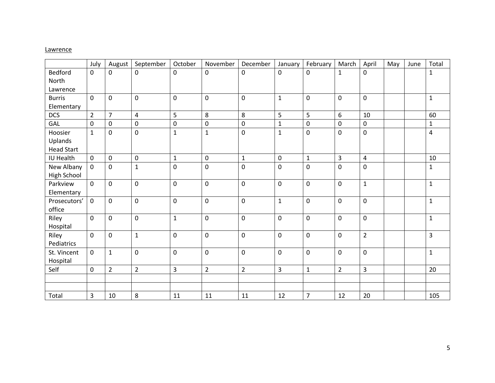### **Lawrence**

|                    | July           | August         | September      | October             | November       | December       | January      | February       | March          | April          | May | June | Total        |
|--------------------|----------------|----------------|----------------|---------------------|----------------|----------------|--------------|----------------|----------------|----------------|-----|------|--------------|
| <b>Bedford</b>     | 0              | 0              | 0              | $\mathbf 0$         | 0              | $\mathbf 0$    | 0            | $\mathbf 0$    | $\mathbf{1}$   | 0              |     |      | 1            |
| North              |                |                |                |                     |                |                |              |                |                |                |     |      |              |
| Lawrence           |                |                |                |                     |                |                |              |                |                |                |     |      |              |
| <b>Burris</b>      | $\Omega$       | $\mathbf 0$    | $\mathbf 0$    | 0                   | $\mathbf 0$    | $\mathbf 0$    | $\mathbf{1}$ | $\mathbf 0$    | $\mathbf 0$    | $\mathbf 0$    |     |      | $\mathbf{1}$ |
| Elementary         |                |                |                |                     |                |                |              |                |                |                |     |      |              |
| <b>DCS</b>         | $\overline{2}$ | $\overline{7}$ | $\overline{4}$ | 5                   | 8              | 8              | 5            | 5              | 6              | 10             |     |      | 60           |
| GAL                | 0              | $\pmb{0}$      | $\pmb{0}$      | $\mathsf{O}\xspace$ | $\pmb{0}$      | $\mathsf 0$    | $\mathbf{1}$ | $\pmb{0}$      | $\mathbf 0$    | $\pmb{0}$      |     |      | $\mathbf{1}$ |
| Hoosier            | $\mathbf{1}$   | 0              | 0              | $\mathbf{1}$        | $\mathbf{1}$   | $\pmb{0}$      | $\mathbf{1}$ | $\mathbf 0$    | $\mathbf 0$    | $\mathbf 0$    |     |      | 4            |
| Uplands            |                |                |                |                     |                |                |              |                |                |                |     |      |              |
| <b>Head Start</b>  |                |                |                |                     |                |                |              |                |                |                |     |      |              |
| IU Health          | $\Omega$       | $\mathbf 0$    | $\mathbf 0$    | $\mathbf{1}$        | $\mathbf 0$    | $\mathbf{1}$   | $\mathbf 0$  | $\mathbf{1}$   | 3              | 4              |     |      | 10           |
| New Albany         | $\mathbf 0$    | $\mathbf 0$    | $\mathbf{1}$   | 0                   | 0              | $\mathbf 0$    | $\mathbf 0$  | $\overline{0}$ | $\mathbf 0$    | 0              |     |      | 1            |
| <b>High School</b> |                |                |                |                     |                |                |              |                |                |                |     |      |              |
| Parkview           | $\mathbf 0$    | 0              | 0              | 0                   | 0              | $\mathbf 0$    | $\mathbf 0$  | $\mathbf 0$    | $\mathbf 0$    | $\mathbf{1}$   |     |      | $\mathbf{1}$ |
| Elementary         |                |                |                |                     |                |                |              |                |                |                |     |      |              |
| Prosecutors'       | $\mathbf 0$    | $\pmb{0}$      | $\pmb{0}$      | $\mathsf{O}\xspace$ | $\pmb{0}$      | $\pmb{0}$      | $\mathbf{1}$ | $\mathbf 0$    | $\mathbf 0$    | $\pmb{0}$      |     |      | $\mathbf{1}$ |
| office             |                |                |                |                     |                |                |              |                |                |                |     |      |              |
| Riley              | 0              | $\mathsf 0$    | 0              | $\mathbf 1$         | $\mathbf 0$    | $\mathbf 0$    | $\mathbf 0$  | $\mathbf 0$    | $\mathbf 0$    | $\mathbf 0$    |     |      | $\mathbf{1}$ |
| Hospital           |                |                |                |                     |                |                |              |                |                |                |     |      |              |
| Riley              | 0              | 0              | $\mathbf{1}$   | 0                   | 0              | 0              | $\mathbf 0$  | $\mathbf 0$    | $\mathbf 0$    | $\overline{2}$ |     |      | 3            |
| Pediatrics         |                |                |                |                     |                |                |              |                |                |                |     |      |              |
| St. Vincent        | $\mathbf 0$    | $\mathbf{1}$   | $\mathbf 0$    | $\mathbf 0$         | $\mathbf 0$    | $\mathbf 0$    | $\mathbf 0$  | $\mathbf 0$    | $\mathbf 0$    | $\mathbf 0$    |     |      | $\mathbf{1}$ |
| Hospital           |                |                |                |                     |                |                |              |                |                |                |     |      |              |
| Self               | 0              | $\overline{2}$ | $\overline{2}$ | $\overline{3}$      | $\overline{2}$ | $\overline{2}$ | 3            | $\mathbf{1}$   | $\overline{2}$ | 3              |     |      | 20           |
|                    |                |                |                |                     |                |                |              |                |                |                |     |      |              |
|                    |                |                |                |                     |                |                |              |                |                |                |     |      |              |
| Total              | 3              | 10             | 8              | 11                  | 11             | 11             | 12           | $\overline{7}$ | 12             | 20             |     |      | 105          |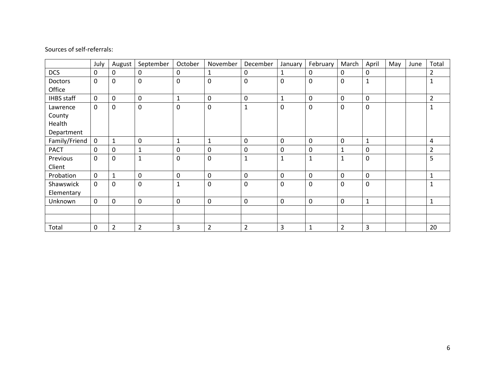|                   | July        | August         | September      | October      | November       | December       | January      | February     | March          | April        | May | June | Total          |
|-------------------|-------------|----------------|----------------|--------------|----------------|----------------|--------------|--------------|----------------|--------------|-----|------|----------------|
| <b>DCS</b>        | 0           | 0              | 0              | 0            | 1              | 0              | 1            | 0            | 0              | 0            |     |      | $\overline{2}$ |
| Doctors           | $\mathbf 0$ | 0              | $\mathbf 0$    | $\mathbf 0$  | $\mathbf 0$    | 0              | $\mathbf 0$  | $\mathbf 0$  | 0              | $\mathbf{1}$ |     |      | 1              |
| Office            |             |                |                |              |                |                |              |              |                |              |     |      |                |
| <b>IHBS</b> staff | $\mathbf 0$ | 0              | 0              | $\mathbf{1}$ | $\pmb{0}$      | 0              | $\mathbf{1}$ | 0            | 0              | $\pmb{0}$    |     |      | $\overline{2}$ |
| Lawrence          | $\mathbf 0$ | 0              | $\mathbf 0$    | $\mathbf 0$  | $\mathbf 0$    | $\mathbf{1}$   | 0            | $\Omega$     | 0              | $\mathbf 0$  |     |      | $\mathbf{1}$   |
| County            |             |                |                |              |                |                |              |              |                |              |     |      |                |
| Health            |             |                |                |              |                |                |              |              |                |              |     |      |                |
| Department        |             |                |                |              |                |                |              |              |                |              |     |      |                |
| Family/Friend     | $\mathbf 0$ | $\mathbf{1}$   | 0              | $\mathbf{1}$ | $\mathbf{1}$   | 0              | $\mathbf 0$  | 0            | 0              | 1            |     |      | 4              |
| <b>PACT</b>       | $\mathbf 0$ | 0              | $\mathbf{1}$   | $\mathbf 0$  | 0              | 0              | $\mathbf 0$  | 0            |                | $\mathbf 0$  |     |      | $\overline{2}$ |
| Previous          | $\Omega$    | 0              | $\mathbf{1}$   | $\mathbf 0$  | $\mathbf 0$    | 1              | $\mathbf{1}$ | 1            |                | $\mathbf 0$  |     |      | 5              |
| Client            |             |                |                |              |                |                |              |              |                |              |     |      |                |
| Probation         | $\mathbf 0$ | 1              | 0              | $\mathbf 0$  | $\mathbf 0$    | 0              | $\mathbf 0$  | $\mathbf{0}$ | 0              | $\mathbf 0$  |     |      | $\mathbf{1}$   |
| Shawswick         | $\mathbf 0$ | 0              | $\overline{0}$ | $\mathbf{1}$ | $\mathbf 0$    | 0              | $\mathbf 0$  | $\mathbf 0$  | 0              | $\mathbf 0$  |     |      | $\mathbf{1}$   |
| Elementary        |             |                |                |              |                |                |              |              |                |              |     |      |                |
| Unknown           | $\mathbf 0$ | 0              | 0              | $\mathbf 0$  | $\pmb{0}$      | 0              | $\mathbf 0$  | 0            | 0              | $\mathbf{1}$ |     |      | $\mathbf 1$    |
|                   |             |                |                |              |                |                |              |              |                |              |     |      |                |
|                   |             |                |                |              |                |                |              |              |                |              |     |      |                |
| Total             | $\mathbf 0$ | $\overline{2}$ | $\overline{2}$ | 3            | $\overline{2}$ | $\overline{2}$ | 3            | $\mathbf{1}$ | $\overline{2}$ | 3            |     |      | 20             |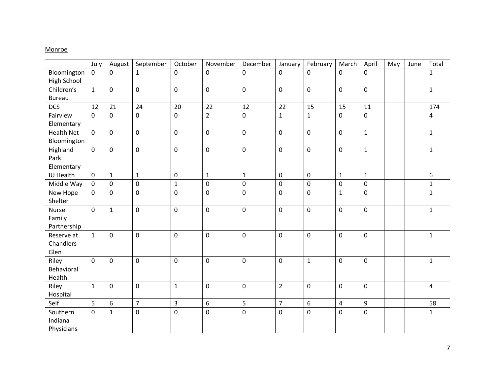### **Monroe**

|                        | July           | August       | September      | October        | November       | December     | January        | February       | March          | April        | May | June | Total          |
|------------------------|----------------|--------------|----------------|----------------|----------------|--------------|----------------|----------------|----------------|--------------|-----|------|----------------|
| Bloomington            | $\mathbf 0$    | 0            | $\mathbf{1}$   | 0              | 0              | 0            | 0              | $\mathbf 0$    | $\mathbf 0$    | 0            |     |      | $\mathbf{1}$   |
| <b>High School</b>     |                |              |                |                |                |              |                |                |                |              |     |      |                |
| Children's             | $\mathbf{1}$   | 0            | $\pmb{0}$      | $\mathbf 0$    | $\pmb{0}$      | 0            | $\mathbf 0$    | $\mathbf 0$    | $\mathbf 0$    | $\pmb{0}$    |     |      | $\mathbf{1}$   |
| <b>Bureau</b>          |                |              |                |                |                |              |                |                |                |              |     |      |                |
| <b>DCS</b>             | 12             | 21           | 24             | 20             | 22             | 12           | 22             | 15             | 15             | 11           |     |      | 174            |
| Fairview<br>Elementary | $\mathbf 0$    | 0            | $\mathbf 0$    | $\mathbf 0$    | $\overline{2}$ | 0            | $\mathbf{1}$   | $\mathbf{1}$   | $\mathbf 0$    | $\mathbf 0$  |     |      | $\overline{4}$ |
| <b>Health Net</b>      | $\overline{0}$ | $\mathbf 0$  | $\mathbf 0$    | 0              | $\mathbf 0$    | $\mathbf 0$  | $\mathbf 0$    | $\mathbf 0$    | $\mathbf 0$    | $\mathbf{1}$ |     |      | $\mathbf{1}$   |
| Bloomington            |                |              |                |                |                |              |                |                |                |              |     |      |                |
| Highland               | $\mathbf 0$    | 0            | $\mathbf 0$    | $\pmb{0}$      | $\mathbf 0$    | 0            | $\mathbf 0$    | $\mathbf 0$    | $\mathbf 0$    | $\mathbf{1}$ |     |      | $\mathbf{1}$   |
| Park                   |                |              |                |                |                |              |                |                |                |              |     |      |                |
| Elementary             |                |              |                |                |                |              |                |                |                |              |     |      |                |
| IU Health              | $\mathbf 0$    | $\mathbf{1}$ | $\mathbf{1}$   | $\pmb{0}$      | $\mathbf{1}$   | $\mathbf{1}$ | $\mathbf 0$    | $\mathbf 0$    | $\mathbf{1}$   | $\mathbf{1}$ |     |      | 6              |
| Middle Way             | $\mathbf 0$    | $\pmb{0}$    | 0              | $\mathbf 1$    | $\pmb{0}$      | $\pmb{0}$    | $\mathbf 0$    | $\mathbf 0$    | $\pmb{0}$      | $\pmb{0}$    |     |      | $\mathbf{1}$   |
| New Hope               | $\mathbf 0$    | 0            | $\mathbf 0$    | 0              | 0              | 0            | $\mathbf 0$    | $\mathbf 0$    | $\mathbf{1}$   | 0            |     |      | $\mathbf{1}$   |
| Shelter                |                |              |                |                |                |              |                |                |                |              |     |      |                |
| Nurse                  | $\mathbf{0}$   | $\mathbf{1}$ | 0              | 0              | $\pmb{0}$      | $\mathbf 0$  | 0              | $\mathbf 0$    | $\mathbf 0$    | $\mathbf 0$  |     |      | $\mathbf{1}$   |
| Family                 |                |              |                |                |                |              |                |                |                |              |     |      |                |
| Partnership            |                |              |                |                |                |              |                |                |                |              |     |      |                |
| Reserve at             | $\mathbf{1}$   | 0            | $\pmb{0}$      | 0              | 0              | 0            | 0              | $\mathbf 0$    | $\mathbf 0$    | $\pmb{0}$    |     |      | $\mathbf{1}$   |
| Chandlers              |                |              |                |                |                |              |                |                |                |              |     |      |                |
| Glen                   |                |              |                |                |                |              |                |                |                |              |     |      |                |
| Riley                  | $\mathbf 0$    | 0            | $\mathbf 0$    | $\pmb{0}$      | $\pmb{0}$      | 0            | $\mathbf 0$    | $\mathbf 1$    | $\mathbf 0$    | $\pmb{0}$    |     |      | $\mathbf{1}$   |
| Behavioral             |                |              |                |                |                |              |                |                |                |              |     |      |                |
| Health                 |                |              |                |                |                |              |                |                |                |              |     |      |                |
| Riley                  | $\mathbf{1}$   | 0            | 0              | $\mathbf{1}$   | 0              | 0            | $\overline{2}$ | $\mathbf 0$    | $\mathbf 0$    | $\mathbf 0$  |     |      | 4              |
| Hospital               |                |              |                |                |                |              |                |                |                |              |     |      |                |
| Self                   | 5              | 6            | $\overline{7}$ | $\overline{3}$ | 6              | 5            | $\overline{7}$ | 6              | $\overline{4}$ | 9            |     |      | 58             |
| Southern               | $\mathbf 0$    | $\mathbf{1}$ | $\mathbf 0$    | $\mathbf 0$    | $\pmb{0}$      | $\mathbf 0$  | 0              | $\overline{0}$ | $\mathbf 0$    | $\mathbf 0$  |     |      | $\mathbf{1}$   |
| Indiana                |                |              |                |                |                |              |                |                |                |              |     |      |                |
| Physicians             |                |              |                |                |                |              |                |                |                |              |     |      |                |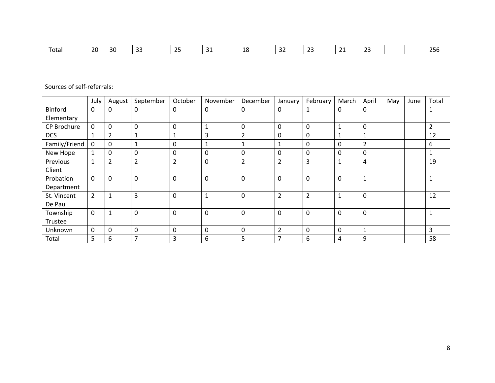| l otal | ാറ<br>້ | 30 | --<br>-- | $\sim$<br>$\sim$ | $\sim$<br>-- | -- | - -<br>- | $\sim$<br>--- | -<br>. .<br>--- | $\sim$<br>້ |  |  | 25C<br>200 |
|--------|---------|----|----------|------------------|--------------|----|----------|---------------|-----------------|-------------|--|--|------------|
|--------|---------|----|----------|------------------|--------------|----|----------|---------------|-----------------|-------------|--|--|------------|

|               | July           | August         | September      | October        | November       | December       | January        | February       | March        | April          | May | June | Total          |
|---------------|----------------|----------------|----------------|----------------|----------------|----------------|----------------|----------------|--------------|----------------|-----|------|----------------|
| Binford       | $\mathbf 0$    | 0              | 0              | $\Omega$       | 0              | $\Omega$       | $\Omega$       |                | 0            | 0              |     |      | 1              |
| Elementary    |                |                |                |                |                |                |                |                |              |                |     |      |                |
| CP Brochure   | $\mathbf 0$    | 0              | $\pmb{0}$      | $\mathbf 0$    | 1              | 0              | 0              | 0              |              | 0              |     |      | $\overline{2}$ |
| <b>DCS</b>    | 1              | $\overline{2}$ |                | 1              | 3              | 2              | 0              | $\mathbf{0}$   | 1            |                |     |      | 12             |
| Family/Friend | $\mathbf 0$    | $\mathbf 0$    |                | $\mathbf 0$    | 1              | 1              | 1              | 0              | $\Omega$     | $\overline{2}$ |     |      | 6              |
| New Hope      | $\mathbf{1}$   | 0              | $\mathbf 0$    | $\mathbf 0$    | 0              | 0              | $\Omega$       | $\mathbf{0}$   | $\Omega$     | 0              |     |      | $\mathbf{1}$   |
| Previous      | $\mathbf{1}$   | $\overline{2}$ | $\overline{2}$ | $\overline{2}$ | 0              | $\overline{2}$ | $\overline{2}$ | 3              | 1            | 4              |     |      | 19             |
| Client        |                |                |                |                |                |                |                |                |              |                |     |      |                |
| Probation     | $\mathbf 0$    | $\mathbf 0$    | 0              | $\mathbf 0$    | 0              | $\mathbf 0$    | $\mathbf 0$    | 0              | $\Omega$     |                |     |      | 1              |
| Department    |                |                |                |                |                |                |                |                |              |                |     |      |                |
| St. Vincent   | $\overline{2}$ | 1              | 3              | $\mathbf 0$    | $\overline{ }$ | $\Omega$       | $\overline{2}$ | $\overline{2}$ | 1            | $\mathbf{0}$   |     |      | 12             |
| De Paul       |                |                |                |                |                |                |                |                |              |                |     |      |                |
| Township      | $\mathbf 0$    | $\mathbf{1}$   | $\mathbf 0$    | $\mathbf 0$    | 0              | $\mathbf 0$    | $\mathbf 0$    | 0              | 0            | 0              |     |      | $\mathbf{1}$   |
| Trustee       |                |                |                |                |                |                |                |                |              |                |     |      |                |
| Unknown       | $\mathbf 0$    | 0              | 0              | $\mathbf 0$    | 0              | $\mathbf{0}$   | $\overline{2}$ | $\mathbf 0$    | $\mathbf{0}$ |                |     |      | 3              |
| Total         | 5              | 6              | $\overline{7}$ | 3              | 6              | 5              | 7              | 6              | 4            | 9              |     |      | 58             |